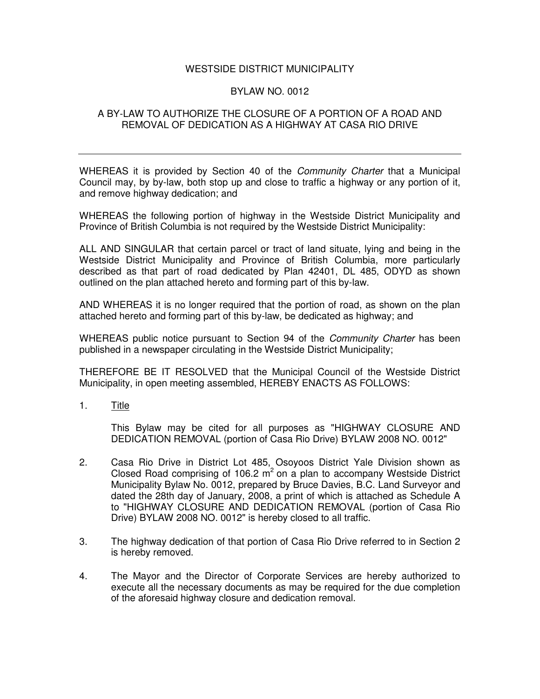## WESTSIDE DISTRICT MUNICIPALITY

## BYLAW NO. 0012

## A BY-LAW TO AUTHORIZE THE CLOSURE OF A PORTION OF A ROAD AND REMOVAL OF DEDICATION AS A HIGHWAY AT CASA RIO DRIVE

WHEREAS it is provided by Section 40 of the *Community Charter* that a Municipal Council may, by by-law, both stop up and close to traffic a highway or any portion of it, and remove highway dedication; and

WHEREAS the following portion of highway in the Westside District Municipality and Province of British Columbia is not required by the Westside District Municipality:

ALL AND SINGULAR that certain parcel or tract of land situate, lying and being in the Westside District Municipality and Province of British Columbia, more particularly described as that part of road dedicated by Plan 42401, DL 485, ODYD as shown outlined on the plan attached hereto and forming part of this by-law.

AND WHEREAS it is no longer required that the portion of road, as shown on the plan attached hereto and forming part of this by-law, be dedicated as highway; and

WHEREAS public notice pursuant to Section 94 of the *Community Charter* has been published in a newspaper circulating in the Westside District Municipality;

THEREFORE BE IT RESOLVED that the Municipal Council of the Westside District Municipality, in open meeting assembled, HEREBY ENACTS AS FOLLOWS:

1. Title

This Bylaw may be cited for all purposes as "HIGHWAY CLOSURE AND DEDICATION REMOVAL (portion of Casa Rio Drive) BYLAW 2008 NO. 0012"

- 2. Casa Rio Drive in District Lot 485, Osoyoos District Yale Division shown as Closed Road comprising of 106.2  $m^2$  on a plan to accompany Westside District Municipality Bylaw No. 0012, prepared by Bruce Davies, B.C. Land Surveyor and dated the 28th day of January, 2008, a print of which is attached as Schedule A to "HIGHWAY CLOSURE AND DEDICATION REMOVAL (portion of Casa Rio Drive) BYLAW 2008 NO. 0012" is hereby closed to all traffic.
- 3. The highway dedication of that portion of Casa Rio Drive referred to in Section 2 is hereby removed.
- 4. The Mayor and the Director of Corporate Services are hereby authorized to execute all the necessary documents as may be required for the due completion of the aforesaid highway closure and dedication removal.